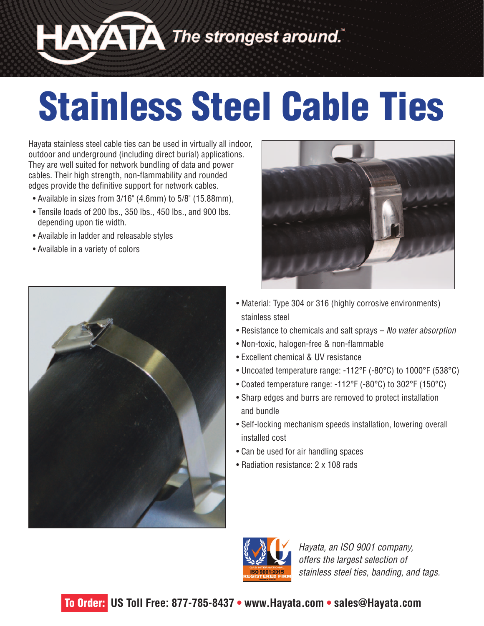**AYATA** The strongest around.

# **Stainless Steel Cable Ties**

Hayata stainless steel cable ties can be used in virtually all indoor, outdoor and underground (including direct burial) applications. They are well suited for network bundling of data and power cables. Their high strength, non-flammability and rounded edges provide the definitive support for network cables.

- Available in sizes from 3/16" (4.6mm) to 5/8" (15.88mm),
- Tensile loads of 200 lbs., 350 lbs., 450 lbs., and 900 lbs. depending upon tie width.
- Available in ladder and releasable styles
- Available in a variety of colors





- Material: Type 304 or 316 (highly corrosive environments) stainless steel
- Resistance to chemicals and salt sprays No water absorption
- Non-toxic, halogen-free & non-flammable
- Excellent chemical & UV resistance
- Uncoated temperature range: -112°F (-80°C) to 1000°F (538°C)
- Coated temperature range: -112°F (-80°C) to 302°F (150°C)
- Sharp edges and burrs are removed to protect installation and bundle
- Self-locking mechanism speeds installation, lowering overall installed cost
- Can be used for air handling spaces
- Radiation resistance: 2 x 108 rads



Hayata, an ISO 9001 company, offers the largest selection of stainless steel ties, banding, and tags.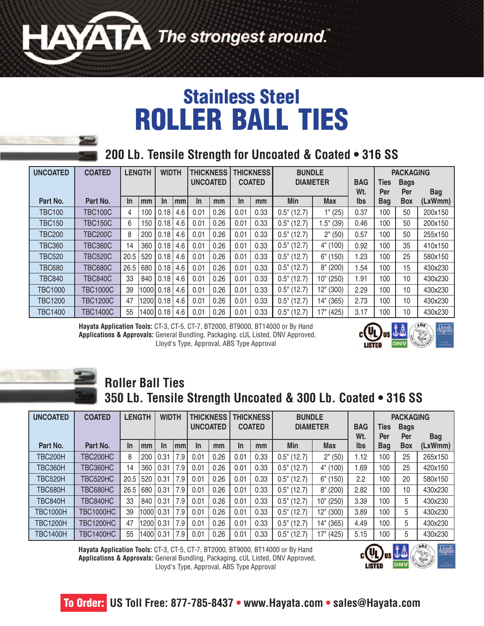

## **Stainless Steel ROLLER BALL TIES**

#### **200 Lb. Tensile Strength for Uncoated & Coated • 316 SS**

| <b>UNCOATED</b> | <b>COATED</b>   | <b>LENGTH</b><br><b>WIDTH</b> |     | <b>THICKNESS</b><br><b>UNCOATED</b> |     | <b>THICKNESS</b><br><b>COATED</b> |      | <b>BUNDLE</b><br><b>DIAMETER</b> |      | <b>BAG</b>     | <b>Ties</b>        | <b>PACKAGING</b><br><b>Bags</b> |            |            |         |
|-----------------|-----------------|-------------------------------|-----|-------------------------------------|-----|-----------------------------------|------|----------------------------------|------|----------------|--------------------|---------------------------------|------------|------------|---------|
|                 |                 |                               |     |                                     |     |                                   |      |                                  |      | Wt.            | Per                | Per                             | <b>Bag</b> |            |         |
| Part No.        | Part No.        | In                            | mm  | <b>In</b>                           | mm  | In                                | mm   | In                               | mm   | Min            | <b>Max</b>         | Ibs                             | <b>Bag</b> | <b>Box</b> | (LxWmm) |
| <b>TBC100</b>   | <b>TBC100C</b>  | 4                             | 100 | 0.18                                | 4.6 | 0.01                              | 0.26 | 0.01                             | 0.33 | $0.5$ " (12.7) | $\mathsf{I}''(25)$ | 0.37                            | 100        | 50         | 200x150 |
| <b>TBC150</b>   | <b>TBC150C</b>  | 6                             | 150 | 0.18                                | 4.6 | 0.01                              | 0.26 | 0.01                             | 0.33 | $0.5$ " (12.7) | $1.5"$ (39)        | 0.46                            | 100        | 50         | 200x150 |
| <b>TBC200</b>   | <b>TBC200C</b>  | 8                             | 200 | 0.18                                | 4.6 | 0.01                              | 0.26 | 0.01                             | 0.33 | $0.5$ " (12.7) | 2" (50)            | 0.57                            | 100        | 50         | 255x150 |
| <b>TBC360</b>   | <b>TBC360C</b>  | 14                            | 360 | 0.18                                | 4.6 | 0.01                              | 0.26 | 0.01                             | 0.33 | $0.5$ " (12.7) | 4" (100)           | 0.92                            | 100        | 35         | 410x150 |
| <b>TBC520</b>   | <b>TBC520C</b>  | 20.5                          | 520 | 0.18                                | 4.6 | 0.01                              | 0.26 | 0.01                             | 0.33 | $0.5$ " (12.7) | $6"$ (150)         | .23                             | 100        | 25         | 580x150 |
| <b>TBC680</b>   | <b>TBC680C</b>  | 26.5                          | 680 | 0.18                                | 4.6 | 0.01                              | 0.26 | 0.01                             | 0.33 | $0.5$ " (12.7) | 8''(200)           | .54                             | 100        | 15         | 430x230 |
| <b>TBC840</b>   | <b>TBC840C</b>  | 33                            | 840 | 0.18                                | 4.6 | 0.01                              | 0.26 | 0.01                             | 0.33 | $0.5$ " (12.7) | 10" (250)          | .91                             | 100        | 10         | 430x230 |
| <b>TBC1000</b>  | <b>TBC1000C</b> | 39                            |     | 1000 0.18                           | 4.6 | 0.01                              | 0.26 | 0.01                             | 0.33 | $0.5$ " (12.7) | 12" (300)          | 2.29                            | 100        | 10         | 430x230 |
| <b>TBC1200</b>  | <b>TBC1200C</b> | 47                            |     | 1200 0.18                           | 4.6 | 0.01                              | 0.26 | 0.01                             | 0.33 | $0.5$ " (12.7) | 14" (365)          | 2.73                            | 100        | 10         | 430x230 |
| <b>TBC1400</b>  | <b>TBC1400C</b> | 55                            |     | 1400 0.18                           | 4.6 | 0.01                              | 0.26 | 0.01                             | 0.33 | $0.5$ " (12.7) | (425)<br>17"       | 3.17                            | 100        | 10         | 430x230 |

**Hayata Application Tools:** CT-3, CT-5, CT-7, BT2000, BT9000, BT14000 or By Hand **Applications & Approvals:** General Bundling, Packaging. cUL Listed, DNV Approved, Lloyd's Type, Approval, ABS Type Approval



#### **Roller Ball Ties 350 Lb. Tensile Strength Uncoated & 300 Lb. Coated • 316 SS**

| <b>UNCOATED</b> | <b>COATED</b>    | <b>LENGTH</b><br><b>WIDTH</b> |     | <b>THICKNESS</b><br><b>UNCOATED</b> |     | <b>THICKNESS</b><br><b>COATED</b> |      | <b>BUNDLE</b><br><b>DIAMETER</b> | <b>BAG</b> | Ties           | <b>PACKAGING</b><br><b>Bags</b> |      |            |            |            |
|-----------------|------------------|-------------------------------|-----|-------------------------------------|-----|-----------------------------------|------|----------------------------------|------------|----------------|---------------------------------|------|------------|------------|------------|
|                 |                  |                               |     |                                     |     |                                   |      |                                  |            |                |                                 | Wt.  | Per        | Per        | <b>Bag</b> |
| Part No.        | Part No.         | <b>In</b>                     | mm  | <b>In</b>                           | mm  | <b>In</b>                         | mm   | In                               | mm         | Min            | <b>Max</b>                      | lbs  | <b>Bag</b> | <b>Box</b> | (LxWmm)    |
| TBC200H         | TBC200HC         | 8                             | 200 | 0.31                                | 7.9 | 0.01                              | 0.26 | 0.01                             | 0.33       | $0.5$ " (12.7) | 2" (50)                         | 1.12 | 100        | 25         | 265x150    |
| TBC360H         | TBC360HC         | 14                            | 360 | 0.31                                | 7.9 | 0.01                              | 0.26 | 0.01                             | 0.33       | $0.5$ " (12.7) | 4" (100)                        | .69  | 100        | 25         | 420x150    |
| TBC520H         | TBC520HC         | 20.5                          | 520 | 0.31                                | 7.9 | 0.01                              | 0.26 | 0.01                             | 0.33       | $0.5"$ (12.7)  | 6"<br>(150)                     | 2.2  | 100        | 20         | 580x150    |
| <b>TBC680H</b>  | TBC680HC         | 26.5                          | 680 | 0.31                                | 7.9 | 0.01                              | 0.26 | 0.01                             | 0.33       | $0.5$ " (12.7) | 8''(200)                        | 2.82 | 100        | 10         | 430x230    |
| TBC840H         | TBC840HC         | 33                            | 840 | 0.31                                | 7.9 | 0.01                              | 0.26 | 0.01                             | 0.33       | $0.5$ " (12.7) | 10" (250)                       | 3.39 | 100        | 5          | 430x230    |
| <b>TBC1000H</b> | <b>TBC1000HC</b> | 39                            |     | 1000 0.31                           | 7.9 | 0.01                              | 0.26 | 0.01                             | 0.33       | $0.5"$ (12.7)  | 12" (300)                       | 3.89 | 100        | 5          | 430x230    |
| <b>TBC1200H</b> | <b>TBC1200HC</b> | 47                            |     | 1200  0.31                          | 7.9 | 0.01                              | 0.26 | 0.01                             | 0.33       | $0.5"$ (12.7)  | 14" (365)                       | 4.49 | 100        | 5          | 430x230    |
| <b>TBC1400H</b> | <b>TBC1400HC</b> | 55                            |     | 1400  0.31                          | 7.9 | 0.01                              | 0.26 | 0.01                             | 0.33       | $0.5"$ (12.7)  | 17"<br>(425)                    | 5.15 | 100        | 5          | 430x230    |

**Hayata Application Tools:** CT-3, CT-5, CT-7, BT2000, BT9000, BT14000 or By Hand **Applications & Approvals:** General Bundling, Packaging, cUL Listed, DNV Approved, Lloyd's Type, Approval, ABS Type Approval





 **To Order: US Toll Free: 877-785-8437 • www.Hayata.com • sales@Hayata.com**